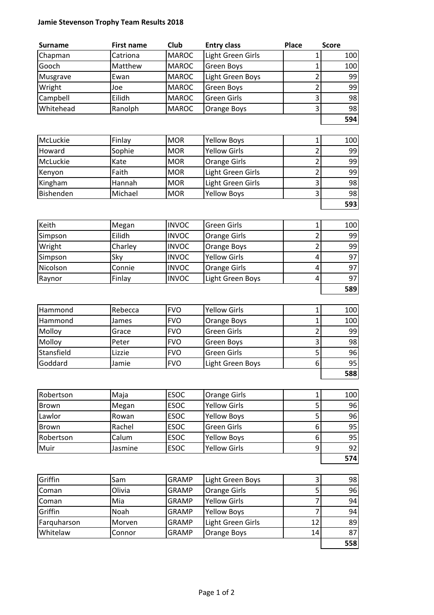## Jamie Stevenson Trophy Team Results 2018

| <b>Surname</b> | <b>First name</b> | <b>Club</b>  | <b>Entry class</b> | <b>Place</b> | <b>Score</b> |
|----------------|-------------------|--------------|--------------------|--------------|--------------|
| Chapman        | Catriona          | <b>MAROC</b> | Light Green Girls  |              | 100          |
| Gooch          | Matthew           | <b>MAROC</b> | <b>Green Boys</b>  |              | 100          |
| Musgrave       | Ewan              | <b>MAROC</b> | Light Green Boys   |              | 99           |
| Wright         | Joe               | <b>MAROC</b> | <b>Green Boys</b>  |              | 99           |
| Campbell       | Eilidh            | <b>MAROC</b> | <b>Green Girls</b> |              | 98           |
| Whitehead      | Ranolph           | <b>MAROC</b> | Orange Boys        |              | 98           |
|                |                   |              |                    |              | 594          |

| McLuckie  | Finlay       | <b>MOR</b> | <b>Yellow Boys</b>  | 100 |
|-----------|--------------|------------|---------------------|-----|
| Howard    | Sophie       | <b>MOR</b> | <b>Yellow Girls</b> | 99  |
| McLuckie  | Kate         | <b>MOR</b> | <b>Orange Girls</b> | 99  |
| Kenyon    | <b>Faith</b> | <b>MOR</b> | Light Green Girls   | 99  |
| Kingham   | Hannah       | <b>MOR</b> | Light Green Girls   | 98  |
| Bishenden | Michael      | <b>MOR</b> | <b>Yellow Boys</b>  | 98  |
|           |              |            |                     | 593 |

| Keith    | Megan   | <b>INVOC</b> | <b>Green Girls</b>  | 100 |
|----------|---------|--------------|---------------------|-----|
| Simpson  | Eilidh  | <b>INVOC</b> | <b>Orange Girls</b> | 99  |
| Wright   | Charley | <b>INVOC</b> | Orange Boys         | 99  |
| Simpson  | Sky     | <b>INVOC</b> | <b>Yellow Girls</b> | 97  |
| Nicolson | Connie  | <b>INVOC</b> | <b>Orange Girls</b> | 97  |
| Raynor   | Finlay  | <b>INVOC</b> | Light Green Boys    | 97  |
|          |         |              |                     | 589 |

| Hammond    | Rebecca | <b>IFVO</b> | <b>Yellow Girls</b> | 100 |
|------------|---------|-------------|---------------------|-----|
| Hammond    | James   | <b>FVO</b>  | Orange Boys         | 100 |
| Molloy     | Grace   | <b>IFVO</b> | <b>Green Girls</b>  | 99  |
| Molloy     | Peter   | <b>FVO</b>  | Green Boys          | 98  |
| Stansfield | Lizzie  | <b>FVO</b>  | <b>Green Girls</b>  | 96  |
| Goddard    | Jamie   | <b>FVO</b>  | Light Green Boys    | 95  |
|            |         |             |                     | 588 |

| Robertson | Maja    | <b>ESOC</b> | <b>Orange Girls</b> |   | 100 |
|-----------|---------|-------------|---------------------|---|-----|
| Brown     | Megan   | <b>ESOC</b> | <b>Yellow Girls</b> |   | 96  |
| Lawlor    | Rowan   | <b>ESOC</b> | <b>Yellow Boys</b>  |   | 96  |
| Brown     | Rachel  | <b>ESOC</b> | <b>Green Girls</b>  | 6 | 95  |
| Robertson | Calum   | <b>ESOC</b> | <b>Yellow Boys</b>  | 6 | 95  |
| Muir      | Jasmine | <b>ESOC</b> | <b>Yellow Girls</b> |   | 92  |
|           |         |             |                     |   | 574 |

| Griffin     | Sam    | <b>GRAMP</b> | Light Green Boys    | ͻ  | 98  |
|-------------|--------|--------------|---------------------|----|-----|
| Coman       | Olivia | <b>GRAMP</b> | <b>Orange Girls</b> |    | 96  |
| Coman       | Mia    | <b>GRAMP</b> | <b>Yellow Girls</b> |    | 94  |
| Griffin     | Noah   | <b>GRAMP</b> | <b>Yellow Boys</b>  |    | 94  |
| Farguharson | Morven | <b>GRAMP</b> | Light Green Girls   | 12 | 89  |
| Whitelaw    | Connor | <b>GRAMP</b> | Orange Boys         | 14 | 87  |
|             |        |              |                     |    | 558 |